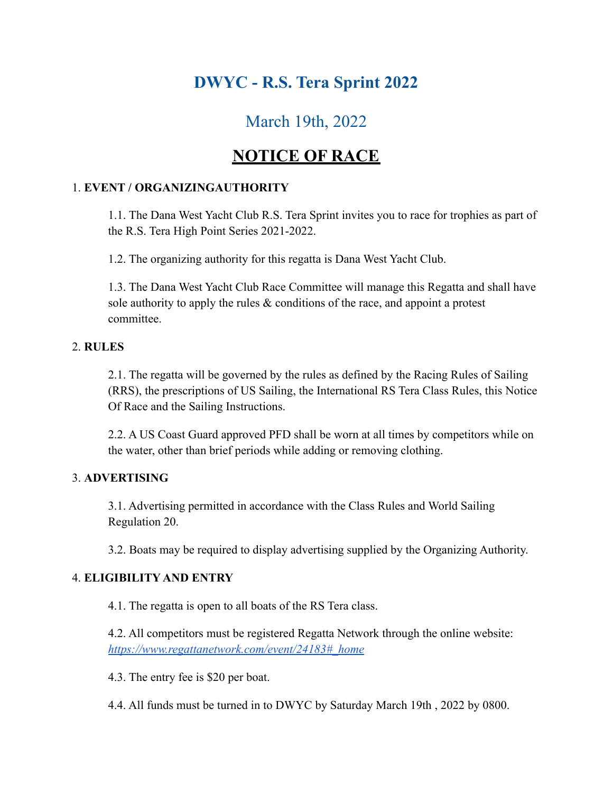# **DWYC - R.S. Tera Sprint 2022**

# March 19th, 2022

# **NOTICE OF RACE**

## 1. **EVENT / ORGANIZINGAUTHORITY**

1.1. The Dana West Yacht Club R.S. Tera Sprint invites you to race for trophies as part of the R.S. Tera High Point Series 2021-2022.

1.2. The organizing authority for this regatta is Dana West Yacht Club.

1.3. The Dana West Yacht Club Race Committee will manage this Regatta and shall have sole authority to apply the rules  $\&$  conditions of the race, and appoint a protest committee.

## 2. **RULES**

2.1. The regatta will be governed by the rules as defined by the Racing Rules of Sailing (RRS), the prescriptions of US Sailing, the International RS Tera Class Rules, this Notice Of Race and the Sailing Instructions.

2.2. A US Coast Guard approved PFD shall be worn at all times by competitors while on the water, other than brief periods while adding or removing clothing.

## 3. **ADVERTISING**

3.1. Advertising permitted in accordance with the Class Rules and World Sailing Regulation 20.

3.2. Boats may be required to display advertising supplied by the Organizing Authority.

## 4. **ELIGIBILITY AND ENTRY**

4.1. The regatta is open to all boats of the RS Tera class.

4.2. All competitors must be registered Regatta Network through the online website: *https://www.regattanetwork.com/event/24183#\_home*

4.3. The entry fee is \$20 per boat.

4.4. All funds must be turned in to DWYC by Saturday March 19th , 2022 by 0800.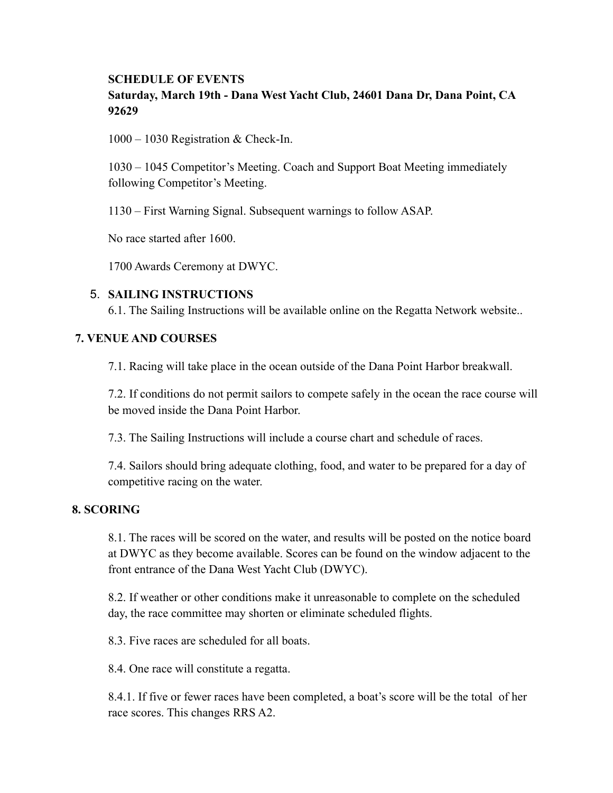## **SCHEDULE OF EVENTS Saturday, March 19th - Dana West Yacht Club, 24601 Dana Dr, Dana Point, CA 92629**

1000 – 1030 Registration & Check-In.

1030 – 1045 Competitor's Meeting. Coach and Support Boat Meeting immediately following Competitor's Meeting.

1130 – First Warning Signal. Subsequent warnings to follow ASAP.

No race started after 1600.

1700 Awards Ceremony at DWYC.

#### 5. **SAILING INSTRUCTIONS**

6.1. The Sailing Instructions will be available online on the Regatta Network website..

#### **7. VENUE AND COURSES**

7.1. Racing will take place in the ocean outside of the Dana Point Harbor breakwall.

7.2. If conditions do not permit sailors to compete safely in the ocean the race course will be moved inside the Dana Point Harbor.

7.3. The Sailing Instructions will include a course chart and schedule of races.

7.4. Sailors should bring adequate clothing, food, and water to be prepared for a day of competitive racing on the water.

### **8. SCORING**

8.1. The races will be scored on the water, and results will be posted on the notice board at DWYC as they become available. Scores can be found on the window adjacent to the front entrance of the Dana West Yacht Club (DWYC).

8.2. If weather or other conditions make it unreasonable to complete on the scheduled day, the race committee may shorten or eliminate scheduled flights.

8.3. Five races are scheduled for all boats.

8.4. One race will constitute a regatta.

8.4.1. If five or fewer races have been completed, a boat's score will be the total of her race scores. This changes RRS A2.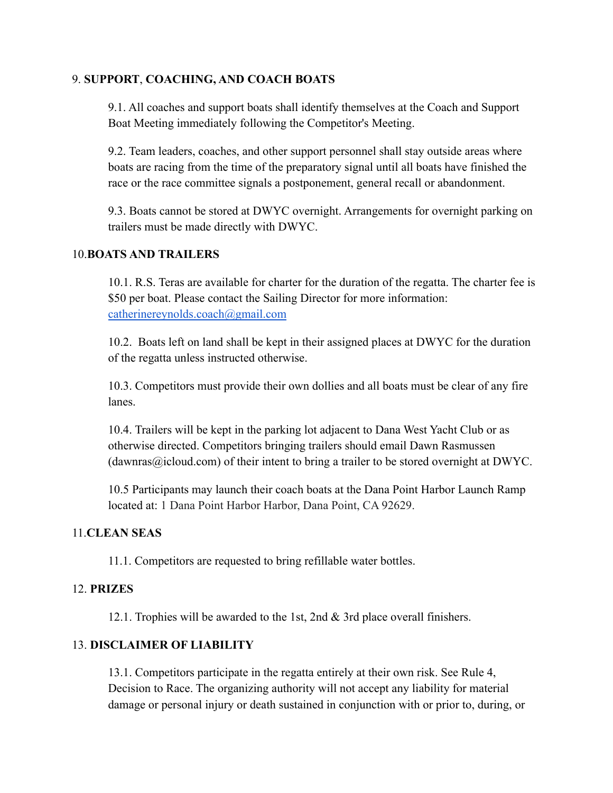#### 9. **SUPPORT**, **COACHING, AND COACH BOATS**

9.1. All coaches and support boats shall identify themselves at the Coach and Support Boat Meeting immediately following the Competitor's Meeting.

9.2. Team leaders, coaches, and other support personnel shall stay outside areas where boats are racing from the time of the preparatory signal until all boats have finished the race or the race committee signals a postponement, general recall or abandonment.

9.3. Boats cannot be stored at DWYC overnight. Arrangements for overnight parking on trailers must be made directly with DWYC.

#### 10.**BOATS AND TRAILERS**

10.1. R.S. Teras are available for charter for the duration of the regatta. The charter fee is \$50 per boat. Please contact the Sailing Director for more information: catherinereynolds.coach@gmail.com

10.2. Boats left on land shall be kept in their assigned places at DWYC for the duration of the regatta unless instructed otherwise.

10.3. Competitors must provide their own dollies and all boats must be clear of any fire lanes.

10.4. Trailers will be kept in the parking lot adjacent to Dana West Yacht Club or as otherwise directed. Competitors bringing trailers should email Dawn Rasmussen  $(dawnras@icloud.com)$  of their intent to bring a trailer to be stored overnight at DWYC.

10.5 Participants may launch their coach boats at the Dana Point Harbor Launch Ramp located at: 1 Dana Point Harbor Harbor, Dana Point, CA 92629.

#### 11.**CLEAN SEAS**

11.1. Competitors are requested to bring refillable water bottles.

#### 12. **PRIZES**

12.1. Trophies will be awarded to the 1st, 2nd & 3rd place overall finishers.

### 13. **DISCLAIMER OF LIABILITY**

13.1. Competitors participate in the regatta entirely at their own risk. See Rule 4, Decision to Race. The organizing authority will not accept any liability for material damage or personal injury or death sustained in conjunction with or prior to, during, or